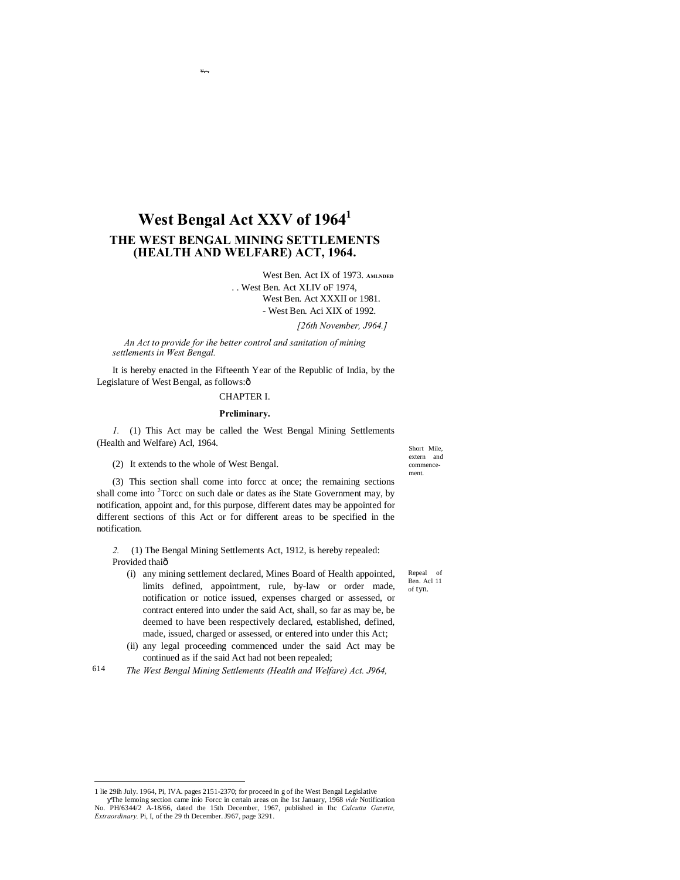# **West Bengal Act XXV of 19641 THE WEST BENGAL MINING SETTLEMENTS (HEALTH AND WELFARE) ACT, 1964.**

v.-.

West Ben. Act IX of 1973. **AMLNDED** . . West Ben. Act XLIV oF 1974, West Ben. Act XXXII or 1981. - West Ben. Aci XIX of 1992.

*[26th November, J964.]*

*An Act to provide for ihe better control and sanitation of mining settlements in West Bengal.*

It is hereby enacted in the Fifteenth Year of the Republic of India, by the Legislature of West Bengal, as follows: $\hat{o}$ 

#### CHAPTER I.

#### **Preliminary.**

*1.* (1) This Act may be called the West Bengal Mining Settlements (Health and Welfare) Acl, 1964.

(2) It extends to the whole of West Bengal.

Short Mile, extern and commencement.

Repeal of Ben. Acl 11 of tyn.

(3) This section shall come into forcc at once; the remaining sections shall come into  $2$ Torcc on such dale or dates as ihe State Government may, by notification, appoint and, for this purpose, different dates may be appointed for different sections of this Act or for different areas to be specified in the notification.

*2.* (1) The Bengal Mining Settlements Act, 1912, is hereby repealed: Provided thaiô

- (i) any mining settlement declared, Mines Board of Health appointed, limits defined, appointment, rule, by-law or order made, notification or notice issued, expenses charged or assessed, or contract entered into under the said Act, shall, so far as may be, be deemed to have been respectively declared, established, defined, made, issued, charged or assessed, or entered into under this Act;
- (ii) any legal proceeding commenced under the said Act may be continued as if the said Act had not been repealed;
- 614 *The West Bengal Mining Settlements (Health and Welfare) Act. J964,*

 <sup>1</sup> lie 29ih July. 1964, Pi, IVA. pages 2151-2370; for proceed in g of ihe West Bengal Legislative The lemoing section came inio Forcc in certain areas on ihe 1st January, 1968 *vide* Notification No. PH/6344/2 A-18/66, dated the 15th December, 1967, published in Ihc *Calcutta Gazette, Extraordinary.* Pi, I, of the 29 th December. J967, page 3291.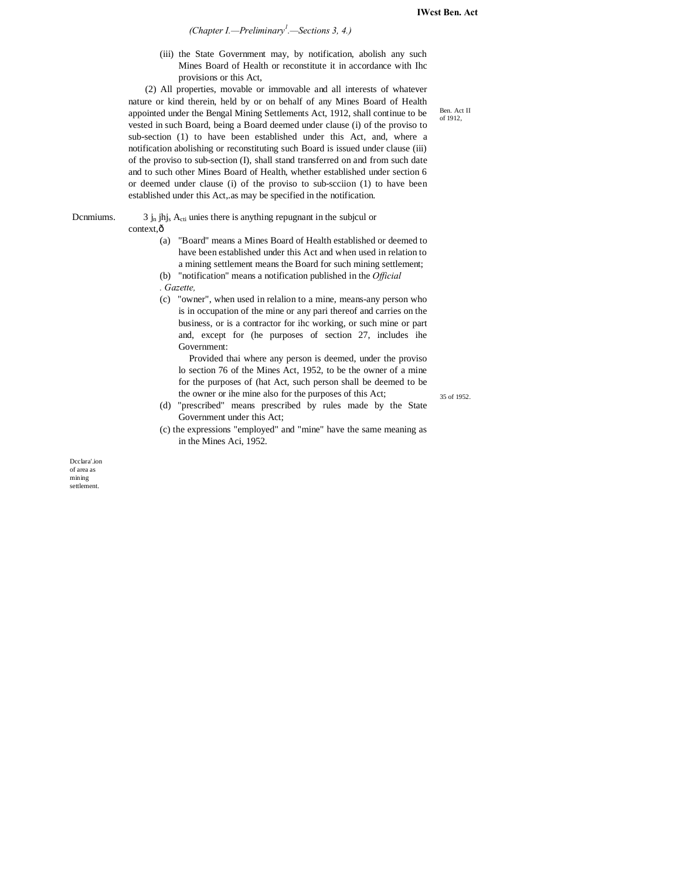*(Chapter I.—Preliminary<sup>1</sup> .—Sections 3, 4.)*

(iii) the State Government may, by notification, abolish any such Mines Board of Health or reconstitute it in accordance with Ihc provisions or this Act,

(2) All properties, movable or immovable and all interests of whatever nature or kind therein, held by or on behalf of any Mines Board of Health appointed under the Bengal Mining Settlements Act, 1912, shall continue to be vested in such Board, being a Board deemed under clause (i) of the proviso to sub-section (1) to have been established under this Act, and, where a notification abolishing or reconstituting such Board is issued under clause (iii) of the proviso to sub-section (I), shall stand transferred on and from such date and to such other Mines Board of Health, whether established under section 6 or deemed under clause (i) of the proviso to sub-scciion (1) to have been established under this Act,.as may be specified in the notification.

Dcnmiums.  $3 j_n j_h$  jhj<sub>s</sub> A<sub>cti</sub> unies there is anything repugnant in the subjcul or

context, $\hat{o}$ 

- (a) "Board" means a Mines Board of Health established or deemed to have been established under this Act and when used in relation to a mining settlement means the Board for such mining settlement;
- (b) "notification" means a notification published in the *Official . Gazette,*
- (c) "owner", when used in relalion to a mine, means-any person who is in occupation of the mine or any pari thereof and carries on the business, or is a contractor for ihc working, or such mine or part and, except for (he purposes of section 27, includes ihe Government:

Provided thai where any person is deemed, under the proviso lo section 76 of the Mines Act, 1952, to be the owner of a mine for the purposes of (hat Act, such person shall be deemed to be the owner or ihe mine also for the purposes of this Act;

35 of 1952.

- (d) "prescribed" means prescribed by rules made by the State Government under this Act;
- (c) the expressions "employed" and "mine" have the same meaning as in the Mines Aci, 1952.

Dcclara'.ion of area as mining settlement.

Ben. Act II of 1912,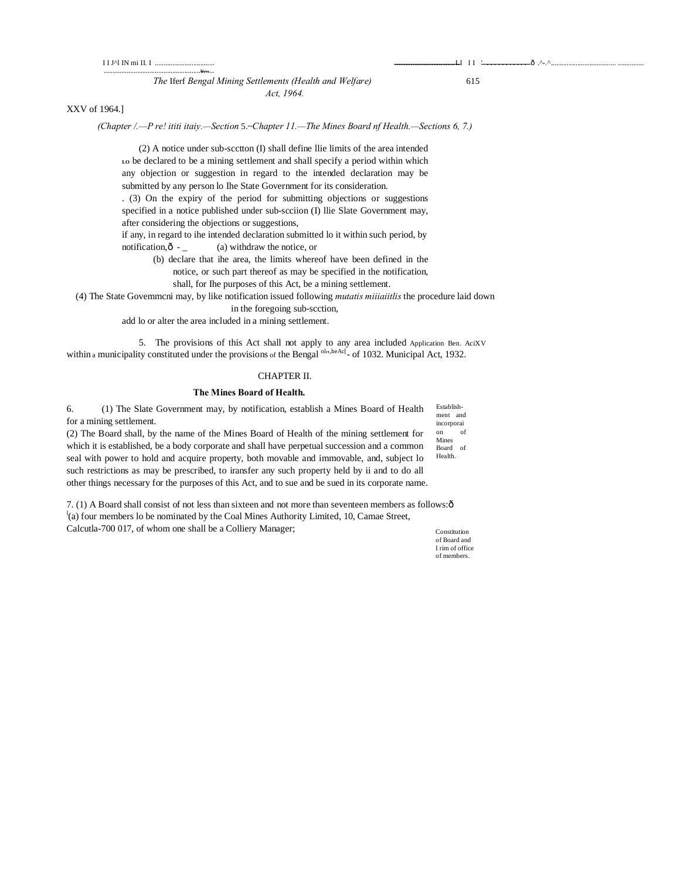## *The* Iferf *Bengal Mining Settlements (Health and Welfare)* 615 *Act, 1964.*

v.-.

## XXV of 1964.]

#### *(Chapter /.—P re! ititi itaiy.—Section* 5.~*Chapter 11.—The Mines Board nf Health.—Sections 6, 7.)*

(2) A notice under sub-scctton (I) shall define llie limits of the area intended **LO** be declared to be a mining settlement and shall specify a period within which any objection or suggestion in regard to the intended declaration may be submitted by any person lo Ihe State Government for its consideration.

. (3) On the expiry of the period for submitting objections or suggestions specified in a notice published under sub-scciion (I) llie Slate Government may, after considering the objections or suggestions,

if any, in regard to ihe intended declaration submitted lo it within such period, by notification, $\hat{o}$  - (a) withdraw the notice, or

(b) declare that ihe area, the limits whereof have been defined in the

notice, or such part thereof as may be specified in the notification,

shall, for Ihe purposes of this Act, be a mining settlement.

(4) The State Govemmcni may, by like notification issued following *mutatis miiiaiitlis* the procedure laid down in the foregoing sub-scction,

add lo or alter the area included in a mining settlement.

5. The provisions of this Act shall not apply to any area included Application Ben. AciXV within a municipality constituted under the provisions of the Bengal <sup>oln, heAc[</sup>- of 1032. Municipal Act, 1932.

#### CHAPTER II.

#### **The Mines Board of Health.**

Establishment and incorporai on of Mines 6. (1) The Slate Government may, by notification, establish a Mines Board of Health for a mining settlement. (2) The Board shall, by the name of the Mines Board of Health of the mining settlement for

Board of Health. which it is established, be a body corporate and shall have perpetual succession and a common seal with power to hold and acquire property, both movable and immovable, and, subject lo such restrictions as may be prescribed, to iransfer any such property held by ii and to do all other things necessary for the purposes of this Act, and to sue and be sued in its corporate name.

7. (1) A Board shall consist of not less than sixteen and not more than seventeen members as follows:—  $\alpha$ <sup>1</sup>(a) four members lo be nominated by the Coal Mines Authority Limited, 10, Camae Street, Calcutla-700 017, of whom one shall be a Colliery Manager;

Constitution of Board and I rim of office of members.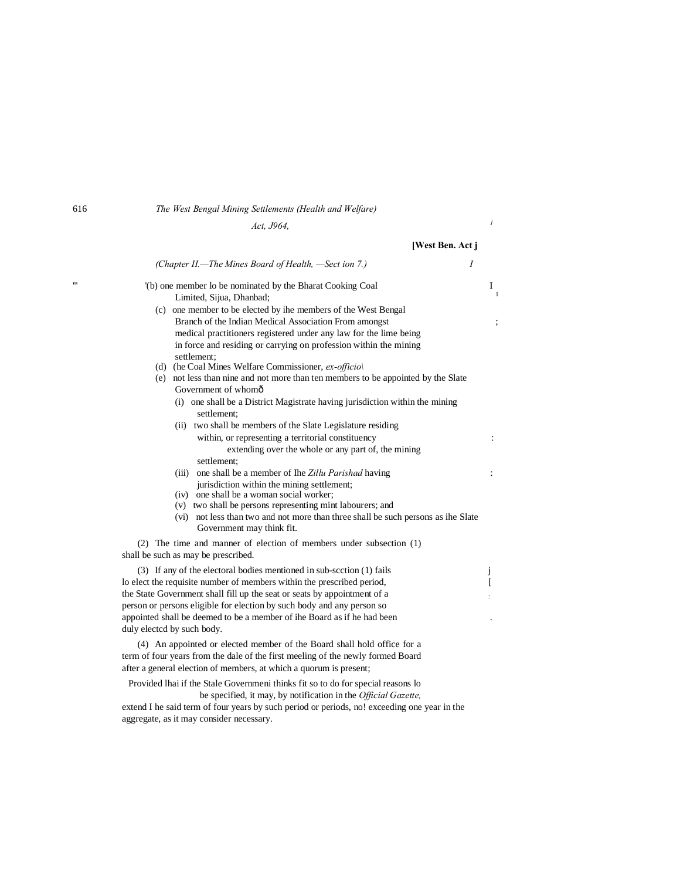## 616 *The West Bengal Mining Settlements (Health and Welfare)*

*Act, J964, <sup>1</sup>*

|   | [West Ben. Act j                                                                                                                                                                                                                                                                                                                                                                                                                            |                     |
|---|---------------------------------------------------------------------------------------------------------------------------------------------------------------------------------------------------------------------------------------------------------------------------------------------------------------------------------------------------------------------------------------------------------------------------------------------|---------------------|
|   | $\overline{I}$<br>(Chapter II.—The Mines Board of Health, —Sect ion 7.)                                                                                                                                                                                                                                                                                                                                                                     |                     |
| m | (b) one member lo be nominated by the Bharat Cooking Coal<br>Limited, Sijua, Dhanbad;<br>(c) one member to be elected by ihe members of the West Bengal<br>Branch of the Indian Medical Association From amongst<br>medical practitioners registered under any law for the lime being<br>in force and residing or carrying on profession within the mining<br>settlement:<br>(d) (he Coal Mines Welfare Commissioner, $ex\text{-}officio$ ) | Ι<br>$\overline{1}$ |
|   | (e) not less than nine and not more than ten members to be appointed by the Slate<br>Government of whomô<br>(i) one shall be a District Magistrate having jurisdiction within the mining<br>settlement:<br>(ii) two shall be members of the Slate Legislature residing                                                                                                                                                                      |                     |
|   | within, or representing a territorial constituency<br>extending over the whole or any part of, the mining<br>settlement;                                                                                                                                                                                                                                                                                                                    |                     |
|   | (iii) one shall be a member of Ihe Zillu Parishad having<br>jurisdiction within the mining settlement;<br>(iv) one shall be a woman social worker;<br>(v) two shall be persons representing mint labourers; and<br>(vi) not less than two and not more than three shall be such persons as ihe Slate<br>Government may think fit.                                                                                                           | ÷                   |
|   | (2) The time and manner of election of members under subsection (1)<br>shall be such as may be prescribed.                                                                                                                                                                                                                                                                                                                                  |                     |
|   | (3) If any of the electoral bodies mentioned in sub-scction (1) fails<br>to elect the requisite number of members within the prescribed period,<br>the State Government shall fill up the seat or seats by appointment of a<br>person or persons eligible for election by such body and any person so<br>appointed shall be deemed to be a member of ihe Board as if he had been<br>duly elected by such body.                              | J<br>I              |
|   | (4) An appointed or elected member of the Board shall hold office for a<br>term of four years from the dale of the first meeling of the newly formed Board<br>after a general election of members, at which a quorum is present;<br>Provided Ihai if the Stale Governmeni thinks fit so to do for special reasons lo                                                                                                                        |                     |

be specified, it may, by notification in the *Official Gazette,*

extend I he said term of four years by such period or periods, no! exceeding one year in the aggregate, as it may consider necessary.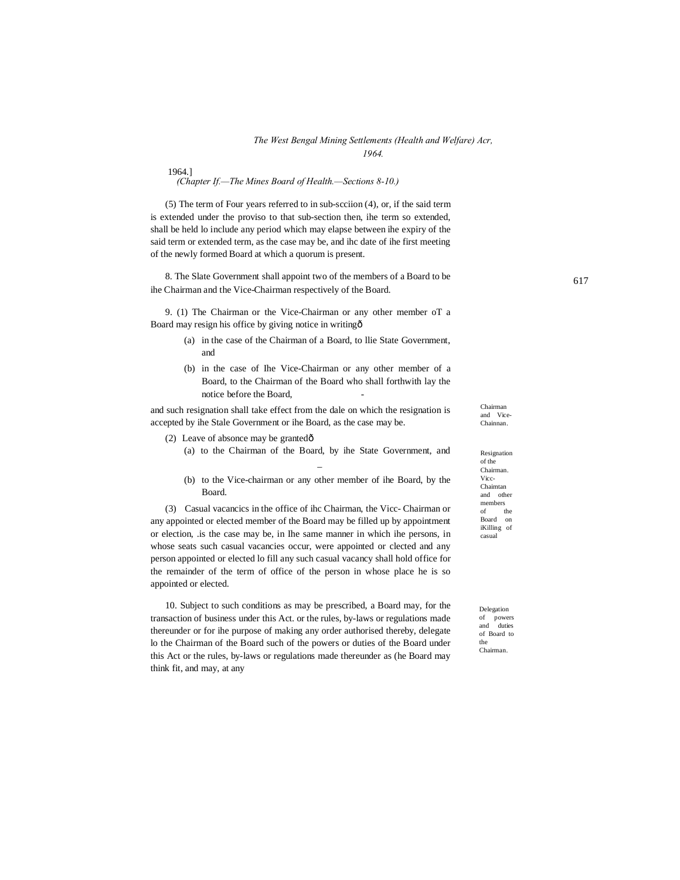#### *The West Bengal Mining Settlements (Health and Welfare) Acr, 1964.*

1964.]

*(Chapter If.—The Mines Board of Health.—Sections 8-10.)*

(5) The term of Four years referred to in sub-scciion (4), or, if the said term is extended under the proviso to that sub-section then, ihe term so extended, shall be held lo include any period which may elapse between ihe expiry of the said term or extended term, as the case may be, and ihc date of ihe first meeting of the newly formed Board at which a quorum is present.

8. The Slate Government shall appoint two of the members of a Board to be ihe Chairman and the Vice-Chairman respectively of the Board.

9. (1) The Chairman or the Vice-Chairman or any other member oT a Board may resign his office by giving notice in writing—

- (a) in the case of the Chairman of a Board, to llie State Government, and
- (b) in the case of Ihe Vice-Chairman or any other member of a Board, to the Chairman of the Board who shall forthwith lay the notice before the Board.

and such resignation shall take effect from the dale on which the resignation is accepted by ihe Stale Government or ihe Board, as the case may be.

- (2) Leave of absonce may be grantedô
	- (a) to the Chairman of the Board, by ihe State Government, and \_
	- (b) to the Vice-chairman or any other member of ihe Board, by the Board.

(3) Casual vacancics in the office of ihc Chairman, the Vicc- Chairman or any appointed or elected member of the Board may be filled up by appointment or election, .is the case may be, in Ihe same manner in which ihe persons, in whose seats such casual vacancies occur, were appointed or clected and any person appointed or elected lo fill any such casual vacancy shall hold office for the remainder of the term of office of the person in whose place he is so appointed or elected.

10. Subject to such conditions as may be prescribed, a Board may, for the transaction of business under this Act. or the rules, by-laws or regulations made thereunder or for ihe purpose of making any order authorised thereby, delegate lo the Chairman of the Board such of the powers or duties of the Board under this Act or the rules, by-laws or regulations made thereunder as (he Board may think fit, and may, at any

Resignation of the Chairman. Vicc-Chaimtan and other members<br>of the  $of$ Board on iKilling of casual

Chairman and Vice-Chainnan.

Delegation of powers and duties of Board to the Chairman.

617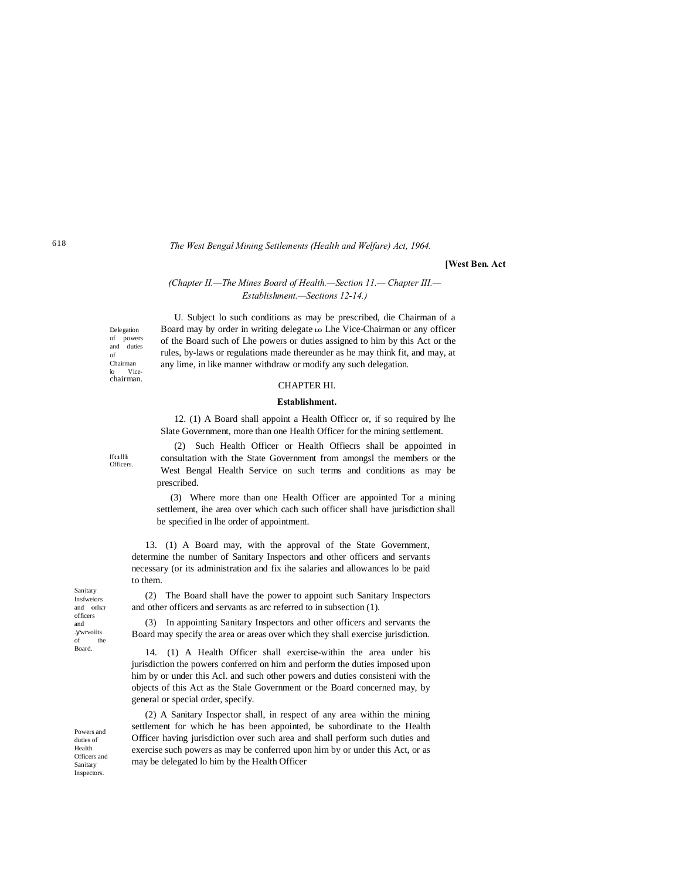#### *The West Bengal Mining Settlements (Health and Welfare) Act, 1964.*

#### **[West Ben. Act**

### *(Chapter II.—The Mines Board of Health.—Section 11.— Chapter III.— Establishment.—Sections 12-14.)*

U. Subject lo such conditions as may be prescribed, die Chairman of a Board may by order in writing delegate Lo Lhe Vice-Chairman or any officer of the Board such of Lhe powers or duties assigned to him by this Act or the rules, by-laws or regulations made thereunder as he may think fit, and may, at any lime, in like manner withdraw or modify any such delegation.

## CHAPTER HI.

## **Establishment.**

12. (1) A Board shall appoint a Health Officcr or, if so required by lhe Slate Government, more than one Health Officer for the mining settlement.

(2) Such Health Officer or Health Offiecrs shall be appointed in consultation with the State Government from amongsl the members or the West Bengal Health Service on such terms and conditions as may be prescribed.

(3) Where more than one Health Officer are appointed Tor a mining settlement, ihe area over which cach such officer shall have jurisdiction shall be specified in lhe order of appointment.

13. (1) A Board may, with the approval of the State Government, determine the number of Sanitary Inspectors and other officers and servants necessary (or its administration and fix ihe salaries and allowances lo be paid to them.

(2) The Board shall have the power to appoint such Sanitary Inspectors and other officers and servants as arc referred to in subsection (1).

(3) In appointing Sanitary Inspectors and other officers and servants the Board may specify the area or areas over which they shall exercise jurisdiction.

14. (1) A Health Officer shall exercise-within the area under his jurisdiction the powers conferred on him and perform the duties imposed upon him by or under this Acl. and such other powers and duties consisteni with the objects of this Act as the Stale Government or the Board concerned may, by general or special order, specify.

(2) A Sanitary Inspector shall, in respect of any area within the mining settlement for which he has been appointed, be subordinate to the Health Officer having jurisdiction over such area and shall perform such duties and exercise such powers as may be conferred upon him by or under this Act, or as may be delegated lo him by the Health Officer

Sanitary Insfweiors and **OI**I**KT**  officers and . wrvoiits<br>of the the Board.

Powers and duties of Health Officers and Sanitary Inspectors.

**f f c a l l h Officers** 

Delegation of powers duties of Chairman lo Vice-chairman.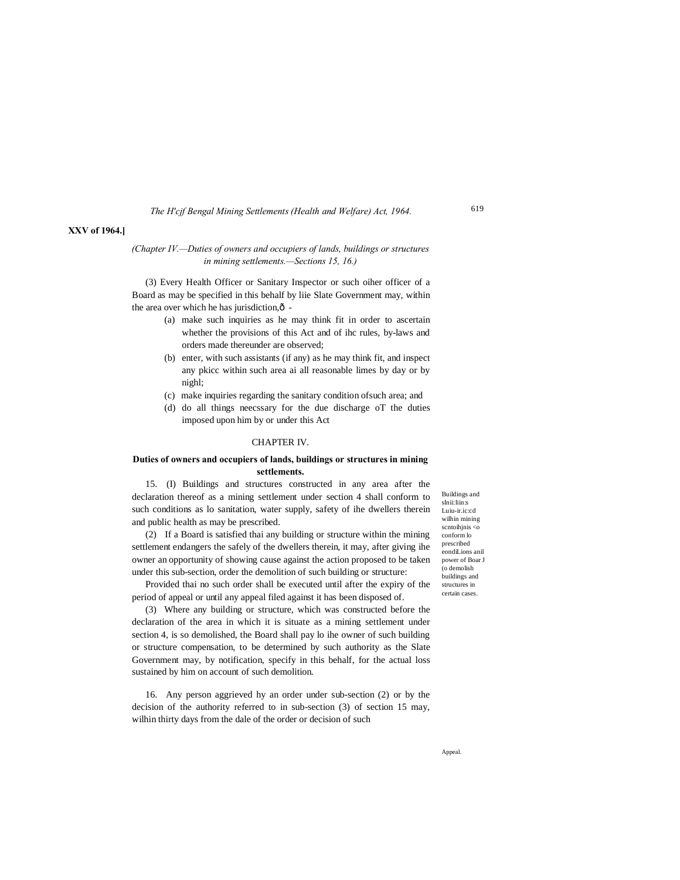*The H'cjf Bengal Mining Settlements (Health and Welfare) Act, 1964.*

#### 619

#### **XXV of 1964.]**

### *(Chapter IV.—Duties of owners and occupiers of lands, buildings or structures in mining settlements.—Sections 15, 16.)*

(3) Every Health Officer or Sanitary Inspector or such oiher officer of a Board as may be specified in this behalf by liie Slate Government may, within the area over which he has jurisdiction, $\hat{o}$  -

- (a) make such inquiries as he may think fit in order to ascertain whether the provisions of this Act and of ihc rules, by-laws and orders made thereunder are observed;
- (b) enter, with such assistants (if any) as he may think fit, and inspect any pkicc within such area ai all reasonable limes by day or by nighl;
- (c) make inquiries regarding the sanitary condition ofsuch area; and
- (d) do all things neecssary for the due discharge oT the duties imposed upon him by or under this Act

#### CHAPTER IV.

#### **Duties of owners and occupiers of lands, buildings or structures in mining settlements.**

15. (I) Buildings and structures constructed in any area after the declaration thereof as a mining settlement under section 4 shall conform to such conditions as lo sanitation, water supply, safety of ihe dwellers therein and public health as may be prescribed.

(2) If a Board is satisfied thai any building or structure within the mining settlement endangers the safely of the dwellers therein, it may, after giving ihe owner an opportunity of showing cause against the action proposed to be taken under this sub-section, order the demolition of such building or structure:

Provided thai no such order shall be executed until after the expiry of the period of appeal or until any appeal filed against it has been disposed of.

(3) Where any building or structure, which was constructed before the declaration of the area in which it is situate as a mining settlement under section 4, is so demolished, the Board shall pay lo ihe owner of such building or structure compensation, to be determined by such authority as the Slate Government may, by notification, specify in this behalf, for the actual loss sustained by him on account of such demolition.

16. Any person aggrieved hy an order under sub-section (2) or by the decision of the authority referred to in sub-section (3) of section 15 may, wilhin thirty days from the dale of the order or decision of such

Buildings and slnii:liin:s Luiu-ir.ic:cd wilhin mining scntoihjnis <o conform lo prescribed eondiLions anil power of Boar J (o demolish buildings and structures in certain cases.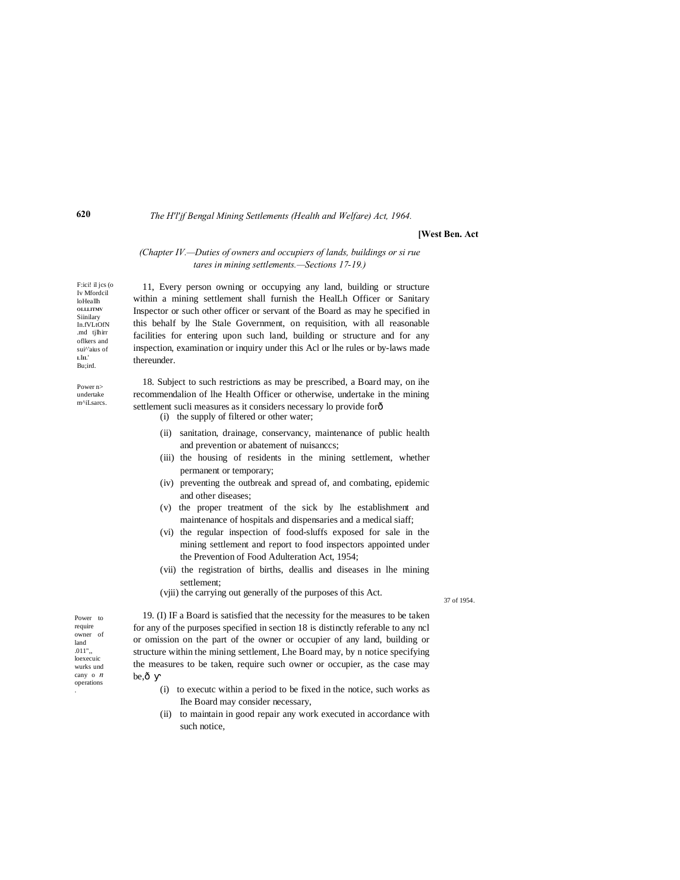*The H'l'jf Bengal Mining Settlements (Health and Welfare) Act, 1964.*

#### **[West Ben. Act**

#### *(Chapter IV.—Duties of owners and occupiers of lands, buildings or si rue tares in mining settlements.—Sections 17-19.)*

11, Every person owning or occupying any land, building or structure within a mining settlement shall furnish the HealLh Officer or Sanitary Inspector or such other officer or servant of the Board as may he specified in this behalf by lhe Stale Government, on requisition, with all reasonable facilities for entering upon such land, building or structure and for any inspection, examination or inquiry under this Acl or lhe rules or by-laws made thereunder.

18. Subject to such restrictions as may be prescribed, a Board may, on ihe recommendalion of lhe Health Officer or otherwise, undertake in the mining settlement sucli measures as it considers necessary lo provide for $\hat{o}$ 

- (i) the supply of filtered or other water;
- (ii) sanitation, drainage, conservancy, maintenance of public health and prevention or abatement of nuisanccs;
- (iii) the housing of residents in the mining settlement, whether permanent or temporary;
- (iv) preventing the outbreak and spread of, and combating, epidemic and other diseases;
- (v) the proper treatment of the sick by lhe establishment and maintenance of hospitals and dispensaries and a medical siaff;
- (vi) the regular inspection of food-sluffs exposed for sale in the mining settlement and report to food inspectors appointed under the Prevention of Food Adulteration Act, 1954;
- (vii) the registration of births, deallis and diseases in lhe mining settlement;
- (vjii) the carrying out generally of the purposes of this Act.

37 of 1954.

Power to require owner of land .011",, loexecuic wurks und cany o *n* operations

.

19. (I) IF a Board is satisfied that the necessity for the measures to be taken for any of the purposes specified in section 18 is distinctly referable to any ncl or omission on the part of the owner or occupier of any land, building or structure within the mining settlement, Lhe Board may, by n notice specifying the measures to be taken, require such owner or occupier, as the case may be, $\hat{o}$ 

- (i) to executc within a period to be fixed in the notice, such works as Ihe Board may consider necessary,
- (ii) to maintain in good repair any work executed in accordance with such notice,

**620**

F:ici! il jcs (o Iv Mfordcil loHeallh **OLLLITMV Siinilary** In.fVLtOfN .md tjlhirr oflkers and sui^'aius of **L**I**IL**' Bu;ird. Power n> undertake m^iLsarcs.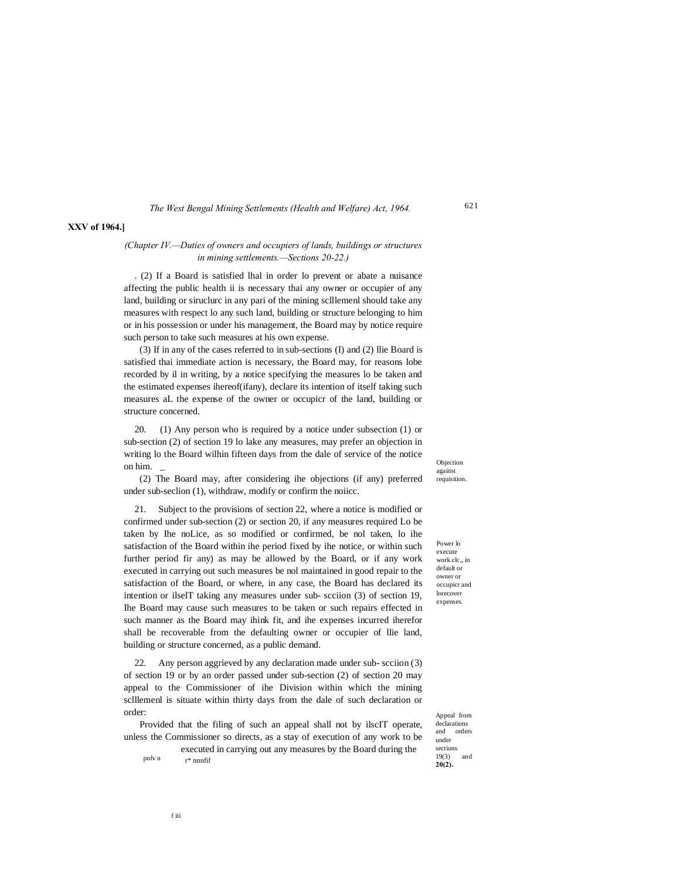## **XXV of 1964.]**

## *(Chapter IV.—Duties of owners and occupiers of lands, buildings or structures in mining settlements.—Sections 20-22.)*

. (2) If a Board is satisfied lhal in order lo prevent or abate a nuisance affecting the public health ii is necessary thai any owner or occupier of any land, building or siruclurc in any pari of the mining sclllemenl should take any measures with respect lo any such land, building or structure belonging to him or in his possession or under his management, the Board may by notice require such person to take such measures at his own expense.

(3) If in any of the cases referred to in sub-sections (I) and (2) llie Board is satisfied thai immediate action is necessary, the Board may, for reasons lobe recorded by il in writing, by a notice specifying the measures lo be taken and the estimated expenses ihereof(ifany), declare its intention of itself taking such measures aL the expense of the owner or occupicr of the land, building or structure concerned.

20. (1) Any person who is required by a notice under subsection (1) or sub-section (2) of section 19 lo lake any measures, may prefer an objection in writing lo the Board wilhin fifteen days from the dale of service of the notice on him. \_

(2) The Board may, after considering ihe objections (if any) preferred under sub-seclion (1), withdraw, modify or confirm the noiicc.

21. Subject to the provisions of section 22, where a notice is modified or confirmed under sub-section (2) or section 20, if any measures required Lo be taken by Ihe noLice, as so modified or confirmed, be nol taken, lo ihe satisfaction of the Board within ihe period fixed by ihe notice, or within such further period fir any) as may be allowed by the Board, or if any work executed in carrying out such measures be nol maintained in good repair to the satisfaction of the Board, or where, in any case, the Board has declared its intention or ilselT taking any measures under sub- scciion (3) of section 19, Ihe Board may cause such measures to be taken or such repairs effected in such manner as the Board may ihink fit, and ihe expenses incurred iherefor shall be recoverable from the defaulting owner or occupier of llie land, building or structure concerned, as a public demand.

22. Any person aggrieved by any declaration made under sub- scciion (3) of section 19 or by an order passed under sub-section (2) of section 20 may appeal to the Commissioner of ihe Division within which the mining sclllemenl is situate within thirty days from the dale of such declaration or order:

Provided that the filing of such an appeal shall not by ilscIT operate, unless the Commissioner so directs, as a stay of execution of any work to be

pnfv n executed in carrying out any measures by the Board during the r\* nnnfif

Objection against requisition.

621

Power lo execute work.clc,, in default or owner or occupicr and lorecover expenses.

Appeal from declarations and orders under sections 19(3) and **20(2).**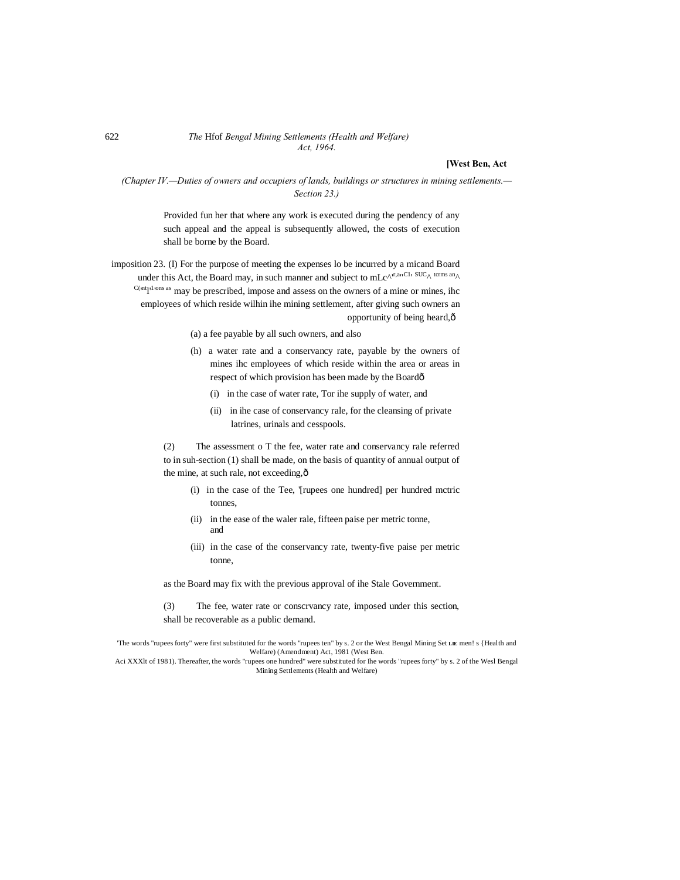#### 622 *The* Hfof *Bengal Mining Settlements (Health and Welfare) Act, 1964.*

## **[West Ben, Act**

## *(Chapter IV.—Duties of owners and occupiers of lands, buildings or structures in mining settlements.— Section 23.)*

Provided fun her that where any work is executed during the pendency of any such appeal and the appeal is subsequently allowed, the costs of execution shall be borne by the Board.

imposition 23. (I) For the purpose of meeting the expenses lo be incurred by a micand Board under this Act, the Board may, in such manner and subject to mL $c^{\Lambda^{r,an}Cl}$  SUC $\Lambda$  terms an $\Lambda$  $C($ <sup>nt</sup><sub>I'</sub>l<sup>, ions as</sup> may be prescribed, impose and assess on the owners of a mine or mines, ihc employees of which reside wilhin ihe mining settlement, after giving such owners an opportunity of being heard,—

- (a) a fee payable by all such owners, and also
- (h) a water rate and a conservancy rate, payable by the owners of mines ihc employees of which reside within the area or areas in respect of which provision has been made by the Boardô
	- (i) in the case of water rate, Tor ihe supply of water, and
	- (ii) in ihe case of conservancy rale, for the cleansing of private latrines, urinals and cesspools.

(2) The assessment o T the fee, water rate and conservancy rale referred to in suh-section (1) shall be made, on the basis of quantity of annual output of the mine, at such rale, not exceeding, $\hat{o}$ 

- (i) in the case of the Tee, '[rupees one hundred] per hundred mctric tonnes,
- (ii) in the ease of the waler rale, fifteen paise per metric tonne, and
- (iii) in the case of the conservancy rate, twenty-five paise per metric tonne,

as the Board may fix with the previous approval of ihe Stale Government.

- (3) The fee, water rate or conscrvancy rate, imposed under this section,
- shall be recoverable as a public demand.

'The words "rupees forty" were first substituted for the words "rupees ten" by s. 2 or the West Bengal Mining Set **LIE** men! s {Health and Welfare) (Amendment) Act, 1981 (West Ben.

Aci XXXlt of 1981). Thereafter, the words "rupees one hundred" were substituted for Ihe words "rupees forty" by s. 2 of the Wesl Bengal Mining Settlements (Health and Welfare)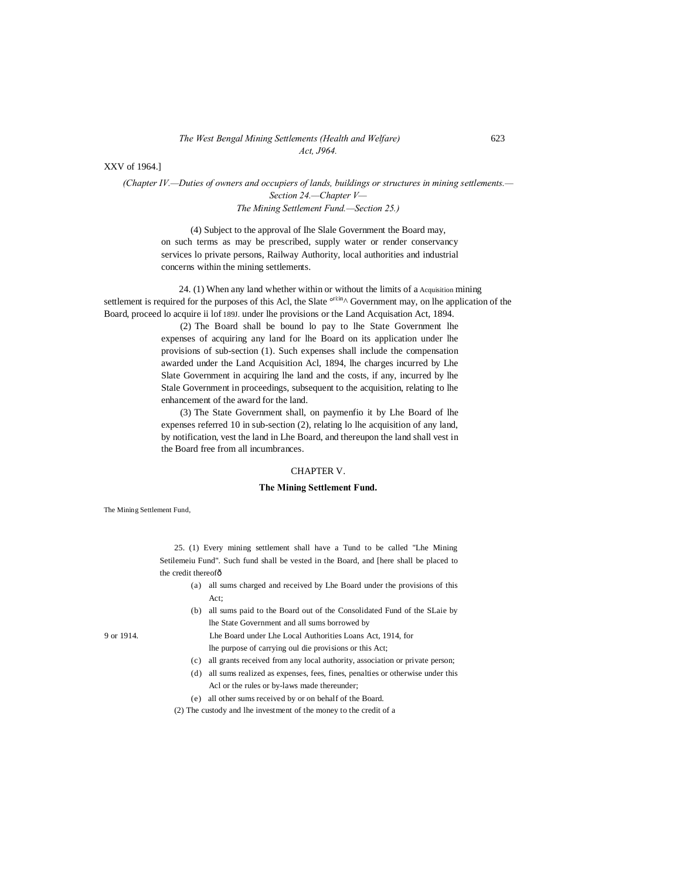#### *The West Bengal Mining Settlements (Health and Welfare)* 623 *Act, J964.*

XXV of 1964.]

*(Chapter IV.—Duties of owners and occupiers of lands, buildings or structures in mining settlements.— Section 24.—Chapter V— The Mining Settlement Fund.—Section 25.)*

(4) Subject to the approval of Ihe Slale Government the Board may, on such terms as may be prescribed, supply water or render conservancy services lo private persons, Railway Authority, local authorities and industrial concerns within the mining settlements.

24. (1) When any land whether within or without the limits of a Acquisition mining settlement is required for the purposes of this Acl, the Slate  $\frac{\text{orbitin}}{\lambda}$  Government may, on lhe application of the Board, proceed lo acquire ii lof 189J. under lhe provisions or the Land Acquisation Act, 1894.

> (2) The Board shall be bound lo pay to lhe State Government lhe expenses of acquiring any land for lhe Board on its application under lhe provisions of sub-section (1). Such expenses shall include the compensation awarded under the Land Acquisition Acl, 1894, lhe charges incurred by Lhe Slate Government in acquiring lhe land and the costs, if any, incurred by lhe Stale Government in proceedings, subsequent to the acquisition, relating to lhe enhancement of the award for the land.

> (3) The State Government shall, on paymenfio it by Lhe Board of lhe expenses referred 10 in sub-section (2), relating lo lhe acquisition of any land, by notification, vest the land in Lhe Board, and thereupon the land shall vest in the Board free from all incumbrances.

### CHAPTER V.

#### **The Mining Settlement Fund.**

The Mining Settlement Fund,

25. (1) Every mining settlement shall have a Tund to be called "Lhe Mining Setilemeiu Fund". Such fund shall be vested in the Board, and [here shall be placed to the credit thereofô

- (a) all sums charged and received by Lhe Board under the provisions of this Act;
- (b) all sums paid to the Board out of the Consolidated Fund of the SLaie by lhe State Government and all sums borrowed by

9 or 1914. Lhe Board under Lhe Local Authorities Loans Act, 1914, for lhe purpose of carrying oul die provisions or this Act;

- (c) all grants received from any local authority, association or private person;
- (d) all sums realized as expenses, fees, fines, penalties or otherwise under this Acl or the rules or by-laws made thereunder;
- (e) all other sums received by or on behalf of the Board.
- (2) The custody and lhe investment of the money to the credit of a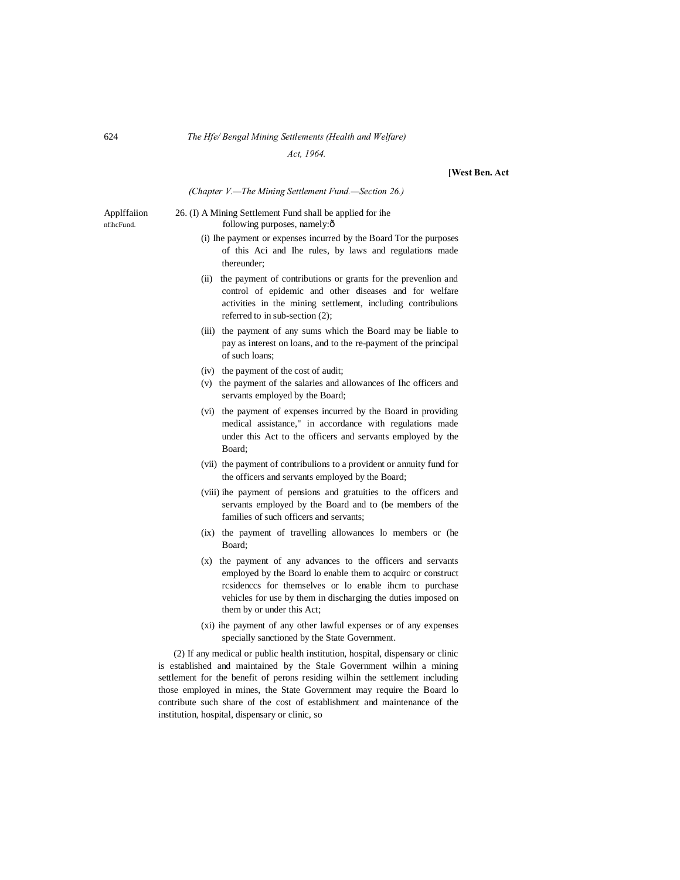## 624 *The Hfe/ Bengal Mining Settlements (Health and Welfare)*

*Act, 1964.*

#### **[West Ben. Act**

#### *(Chapter V.—The Mining Settlement Fund.—Section 26.)*

Applffaiion 26. (I) A Mining Settlement Fund shall be applied for ihe nfihcFund. following purposes, namely: $\hat{o}$ 

- (i) Ihe payment or expenses incurred by the Board Tor the purposes of this Aci and Ihe rules, by laws and regulations made thereunder;
- (ii) the payment of contributions or grants for the prevenlion and control of epidemic and other diseases and for welfare activities in the mining settlement, including contribulions referred to in sub-section (2);
- (iii) the payment of any sums which the Board may be liable to pay as interest on loans, and to the re-payment of the principal of such loans;
- (iv) the payment of the cost of audit;
- (v) the payment of the salaries and allowances of Ihc officers and servants employed by the Board;
- (vi) the payment of expenses incurred by the Board in providing medical assistance," in accordance with regulations made under this Act to the officers and servants employed by the Board;
- (vii) the payment of contribulions to a provident or annuity fund for the officers and servants employed by the Board;
- (viii) ihe payment of pensions and gratuities to the officers and servants employed by the Board and to (be members of the families of such officers and servants;
- (ix) the payment of travelling allowances lo members or (he Board;
- (x) the payment of any advances to the officers and servants employed by the Board lo enable them to acquirc or construct rcsidenccs for themselves or lo enable ihcm to purchase vehicles for use by them in discharging the duties imposed on them by or under this Act;
- (xi) ihe payment of any other lawful expenses or of any expenses specially sanctioned by the State Government.

(2) If any medical or public health institution, hospital, dispensary or clinic is established and maintained by the Stale Government wilhin a mining settlement for the benefit of perons residing wilhin the settlement including those employed in mines, the State Government may require the Board lo contribute such share of the cost of establishment and maintenance of the institution, hospital, dispensary or clinic, so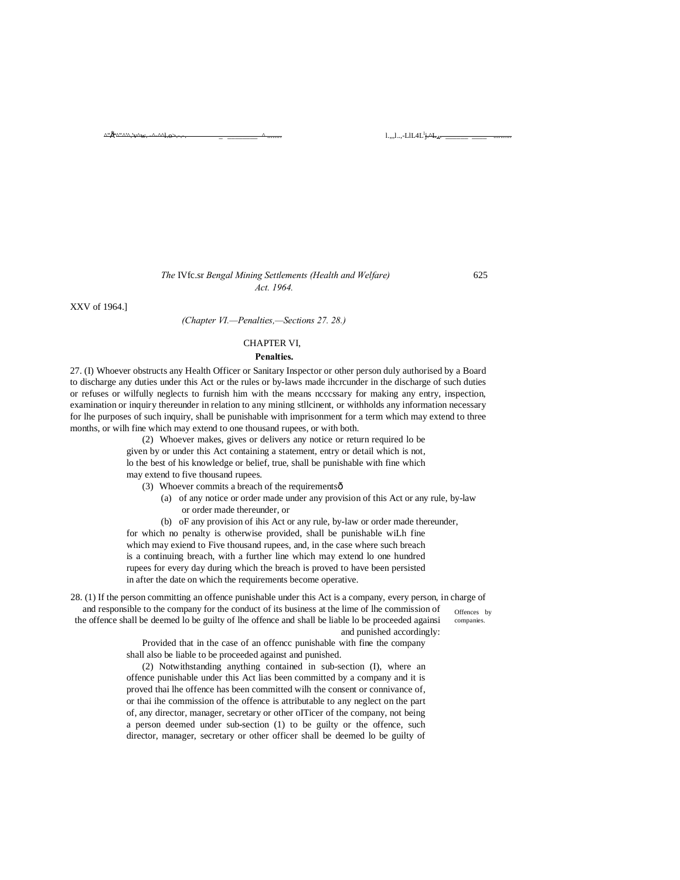^"^'^.'v^w. -^-^^l.o>.-.-. \_ \_\_\_\_\_\_\_\_ ^ ........ l.,,,l..,-LlL4L<sup>l</sup> j.^LA. \_\_\_\_\_\_ \_\_\_\_ ..........

### *The* IVfc.sr *Bengal Mining Settlements (Health and Welfare)* 625 *Act. 1964.*

XXV of 1964.]

^"• L

## *(Chapter VI.—Penalties,—Sections 27. 28.)*

## CHAPTER VI,

#### **Penalties.**

27. (I) Whoever obstructs any Health Officer or Sanitary Inspector or other person duly authorised by a Board to discharge any duties under this Act or the rules or by-laws made ihcrcunder in the discharge of such duties or refuses or wilfully neglects to furnish him with the means ncccssary for making any entry, inspection, examination or inquiry thereunder in relation to any mining stllcinent, or withholds any information necessary for lhe purposes of such inquiry, shall be punishable with imprisonment for a term which may extend to three months, or wilh fine which may extend to one thousand rupees, or with both.

> (2) Whoever makes, gives or delivers any notice or return required lo be given by or under this Act containing a statement, entry or detail which is not, lo the best of his knowledge or belief, true, shall be punishable with fine which may extend to five thousand rupees.

(3) Whoever commits a breach of the requirements $\hat{o}$ 

(a) of any notice or order made under any provision of this Act or any rule, by-law or order made thereunder, or

(b) oF any provision of ihis Act or any rule, by-law or order made thereunder, for which no penalty is otherwise provided, shall be punishable wiLh fine which may exiend to Five thousand rupees, and, in the case where such breach is a continuing breach, with a further line which may extend lo one hundred rupees for every day during which the breach is proved to have been persisted in after the date on which the requirements become operative.

Offences by companies. 28. (1) If the person committing an offence punishable under this Act is a company, every person, in charge of and responsible to the company for the conduct of its business at the lime of lhe commission of the offence shall be deemed lo be guilty of lhe offence and shall be liable lo be proceeded againsi and punished accordingly:

Provided that in the case of an offencc punishable with fine the company shall also be liable to be proceeded against and punished.

(2) Notwithstanding anything contained in sub-section (I), where an offence punishable under this Act lias been committed by a company and it is proved thai lhe offence has been committed wilh the consent or connivance of, or thai ihe commission of the offence is attributable to any neglect on the part of, any director, manager, secretary or other oITicer of the company, not being a person deemed under sub-section (1) to be guilty or the offence, such director, manager, secretary or other officer shall be deemed lo be guilty of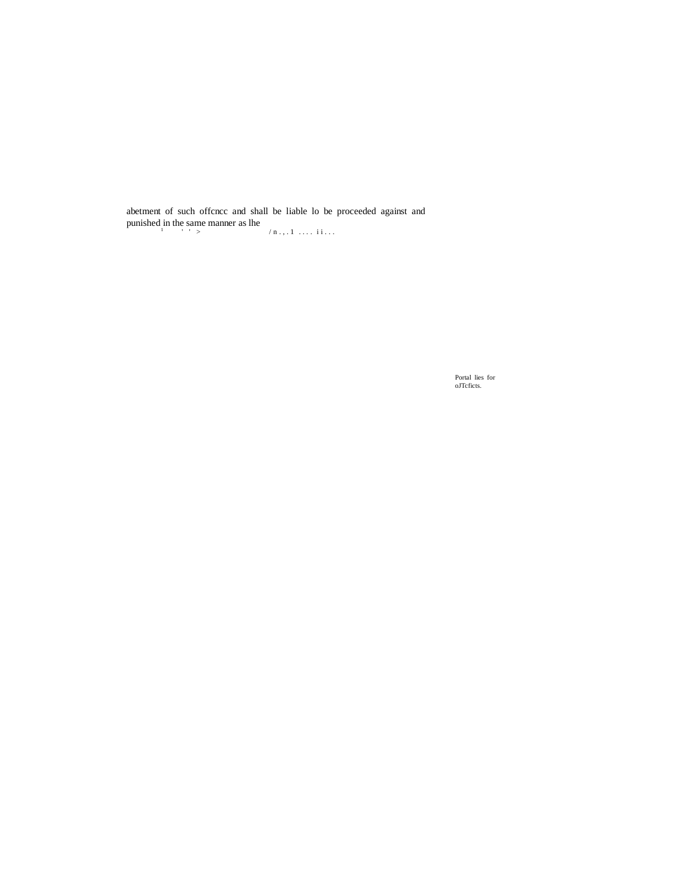abetment of such offcncc and shall be liable lo be proceeded against and punished in the same manner as lhe  $\binom{n}{1}$  ...  $1 \ldots i$  ...

Portal lies for oJTcficts.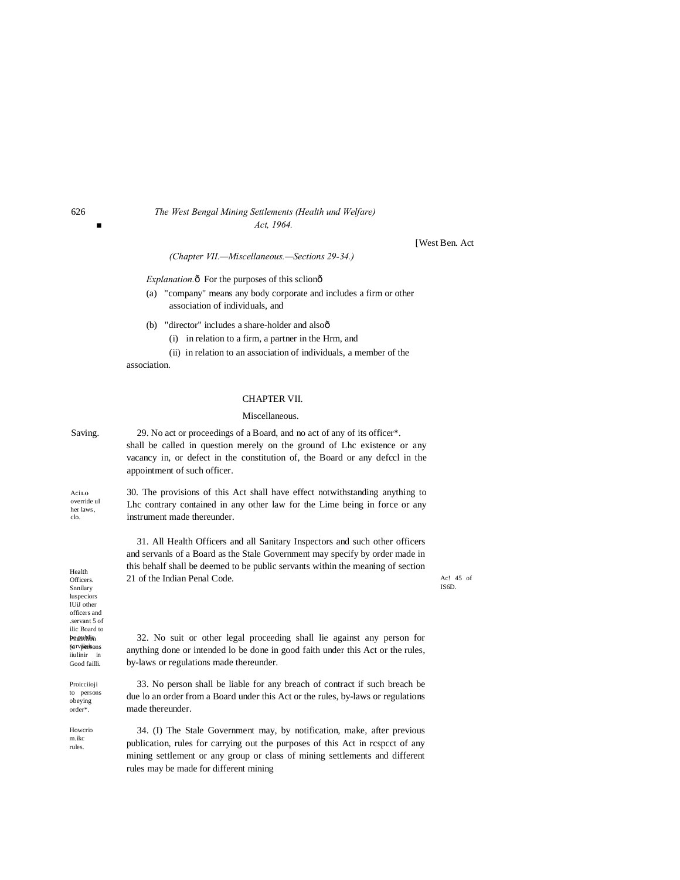## 626 *The West Bengal Mining Settlements (Health und Welfare) ■ Act, 1964.*

[West Ben. Act

45 of

*(Chapter VII.—Miscellaneous.—Sections 29-34.)*

*Explanation.* $\hat{o}$  For the purposes of this sclion $\hat{o}$ 

- (a) "company" means any body corporate and includes a firm or other association of individuals, and
- (b) "director" includes a share-holder and alsoô
	- (i) in relation to a firm, a partner in the Hrm, and
	- (ii) in relation to an association of individuals, a member of the

association.

## CHAPTER VII.

## Miscellaneous.

| Saving.                                                                                                                | 29. No act or proceedings of a Board, and no act of any of its officer*.<br>shall be called in question merely on the ground of Lhc existence or any<br>vacancy in, or defect in the constitution of, the Board or any defect in the<br>appointment of such officer.               |                |
|------------------------------------------------------------------------------------------------------------------------|------------------------------------------------------------------------------------------------------------------------------------------------------------------------------------------------------------------------------------------------------------------------------------|----------------|
| Acilo<br>override uI<br>her laws,<br>clo.                                                                              | 30. The provisions of this Act shall have effect notwithstanding anything to<br>Lhe contrary contained in any other law for the Lime being in force or any<br>instrument made thereunder.                                                                                          |                |
| Health<br>Officers.<br>Snnilary<br>luspeciors<br>IUiJ other                                                            | 31. All Health Officers and all Sanitary Inspectors and such other officers<br>and servants of a Board as the Stale Government may specify by order made in<br>this behalf shall be deemed to be public servants within the meaning of section<br>21 of the Indian Penal Code.     | Ac! 4<br>IS6D. |
| officers and<br>servant 5 of<br>ilic Board to<br><b>PRIPIKING</b><br><b>6GIVPERSONS</b><br>iiulinir in<br>Good failli. | 32. No suit or other legal proceeding shall lie against any person for<br>anything done or intended lo be done in good faith under this Act or the rules,<br>by-laws or regulations made thereunder.                                                                               |                |
| Proicciioji<br>to persons<br>obeying<br>order*.                                                                        | 33. No person shall be liable for any breach of contract if such breach be<br>due lo an order from a Board under this Act or the rules, by-laws or regulations<br>made thereunder.                                                                                                 |                |
| Howerio<br>m.ikc<br>rules.                                                                                             | 34. (I) The Stale Government may, by notification, make, after previous<br>publication, rules for carrying out the purposes of this Act in respect of any<br>mining settlement or any group or class of mining settlements and different<br>rules may be made for different mining |                |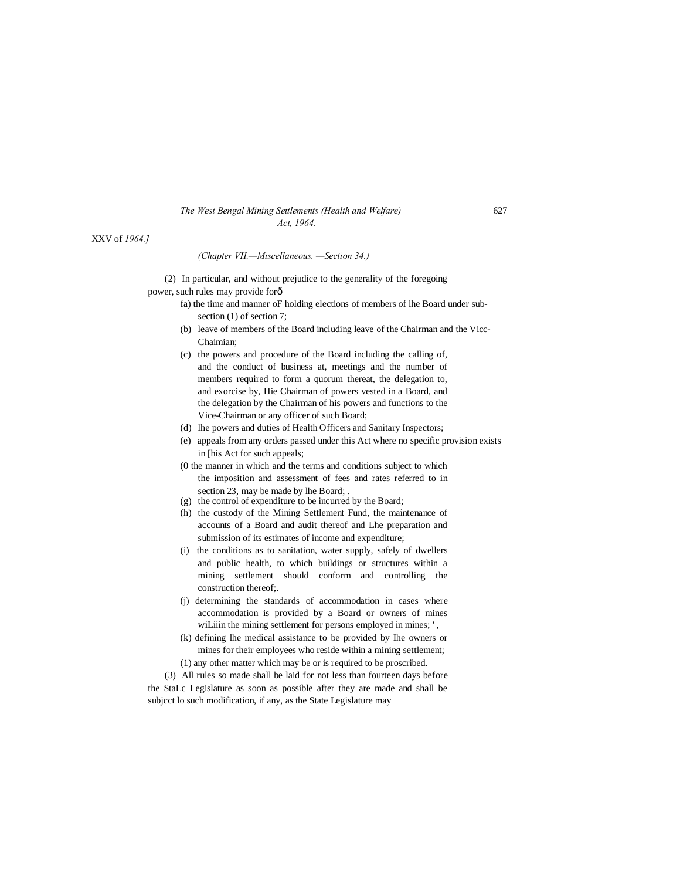#### *The West Bengal Mining Settlements (Health and Welfare)* 627 *Act, 1964.*

XXV of *1964.]*

*(Chapter VII.—Miscellaneous. —Section 34.)*

(2) In particular, and without prejudice to the generality of the foregoing power, such rules may provide for—

- fa) the time and manner oF holding elections of members of lhe Board under subsection (1) of section 7;
- (b) leave of members of the Board including leave of the Chairman and the Vicc-Chaimian;
- (c) the powers and procedure of the Board including the calling of, and the conduct of business at, meetings and the number of members required to form a quorum thereat, the delegation to, and exorcise by, Hie Chairman of powers vested in a Board, and the delegation by the Chairman of his powers and functions to the Vice-Chairman or any officer of such Board;
- (d) lhe powers and duties of Health Officers and Sanitary Inspectors;
- (e) appeals from any orders passed under this Act where no specific provision exists in [his Act for such appeals;
- (0 the manner in which and the terms and conditions subject to which the imposition and assessment of fees and rates referred to in section 23, may be made by lhe Board; .
- (g) the control of expenditure to be incurred by the Board;
- (h) the custody of the Mining Settlement Fund, the maintenance of accounts of a Board and audit thereof and Lhe preparation and submission of its estimates of income and expenditure;
- (i) the conditions as to sanitation, water supply, safely of dwellers and public health, to which buildings or structures within a mining settlement should conform and controlling the construction thereof;.
- (j) determining the standards of accommodation in cases where accommodation is provided by a Board or owners of mines wiLiiin the mining settlement for persons employed in mines; ',
- (k) defining lhe medical assistance to be provided by Ihe owners or mines for their employees who reside within a mining settlement; (1) any other matter which may be or is required to be proscribed.
- 

(3) All rules so made shall be laid for not less than fourteen days before the StaLc Legislature as soon as possible after they are made and shall be subjcct lo such modification, if any, as the State Legislature may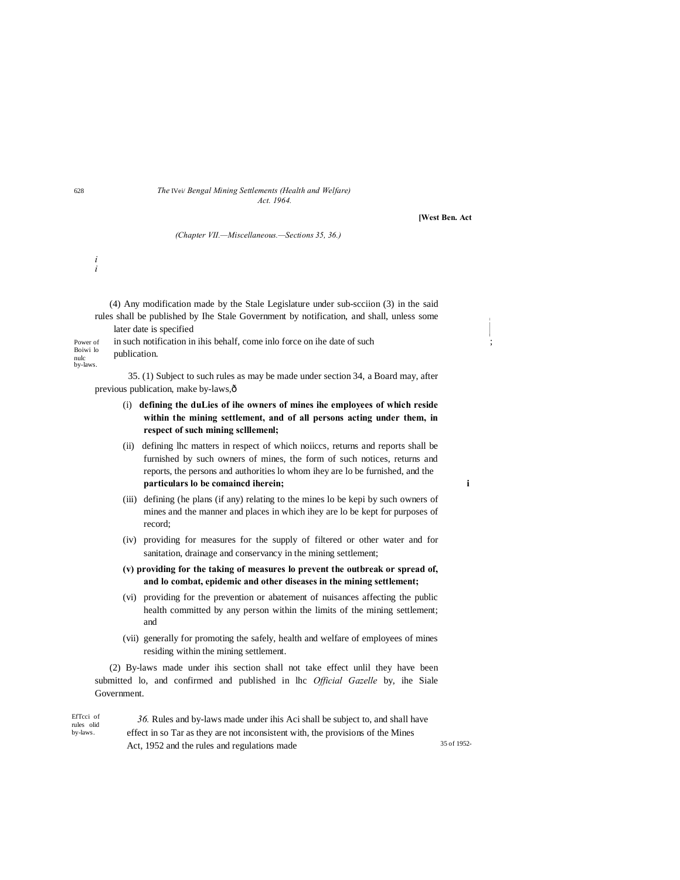#### 628 *The* IVei/ *Bengal Mining Settlements (Health and Welfare) Act. 1964.*

**[West Ben. Act**

*(Chapter VII.—Miscellaneous.—Sections 35, 36.)*

(4) Any modification made by the Stale Legislature under sub-scciion (3) in the said rules shall be published by Ihe Stale Government by notification, and shall, unless some later date is specified **<sup>j</sup>**

| Power of         | in such notification in ihis behalf, come inlo force on ihe date of such |  |
|------------------|--------------------------------------------------------------------------|--|
| Boiwi lo<br>nulc | publication.                                                             |  |
| by-laws.         |                                                                          |  |

35. (1) Subject to such rules as may be made under section 34, a Board may, after previous publication, make by-laws, ô

- (i) **defining the duLies of ihe owners of mines ihe employees of which reside within the mining settlement, and of all persons acting under them, in respect of such mining sclllemenl;**
- (ii) defining lhc matters in respect of which noiiccs, returns and reports shall be furnished by such owners of mines, the form of such notices, returns and reports, the persons and authorities lo whom ihey are lo be furnished, and the **particulars lo be comaincd iherein; i**
- (iii) defining (he plans (if any) relating to the mines lo be kepi by such owners of mines and the manner and places in which ihey are lo be kept for purposes of record;
- (iv) providing for measures for the supply of filtered or other water and for sanitation, drainage and conservancy in the mining settlement;
- **(v) providing for the taking of measures lo prevent the outbreak or spread of, and lo combat, epidemic and other diseases in the mining settlement;**
- (vi) providing for the prevention or abatement of nuisances affecting the public health committed by any person within the limits of the mining settlement; and
- (vii) generally for promoting the safely, health and welfare of employees of mines residing within the mining settlement.

(2) By-laws made under ihis section shall not take effect unlil they have been submitted lo, and confirmed and published in lhc *Official Gazelle* by, ihe Siale Government.

| EfTcci of<br>rules olid | 36. Rules and by-laws made under ihis Aci shall be subject to, and shall have   |             |
|-------------------------|---------------------------------------------------------------------------------|-------------|
| by-laws.                | effect in so Tar as they are not inconsistent with, the provisions of the Mines |             |
|                         | Act, 1952 and the rules and regulations made                                    | 35 of 1952- |

*i i*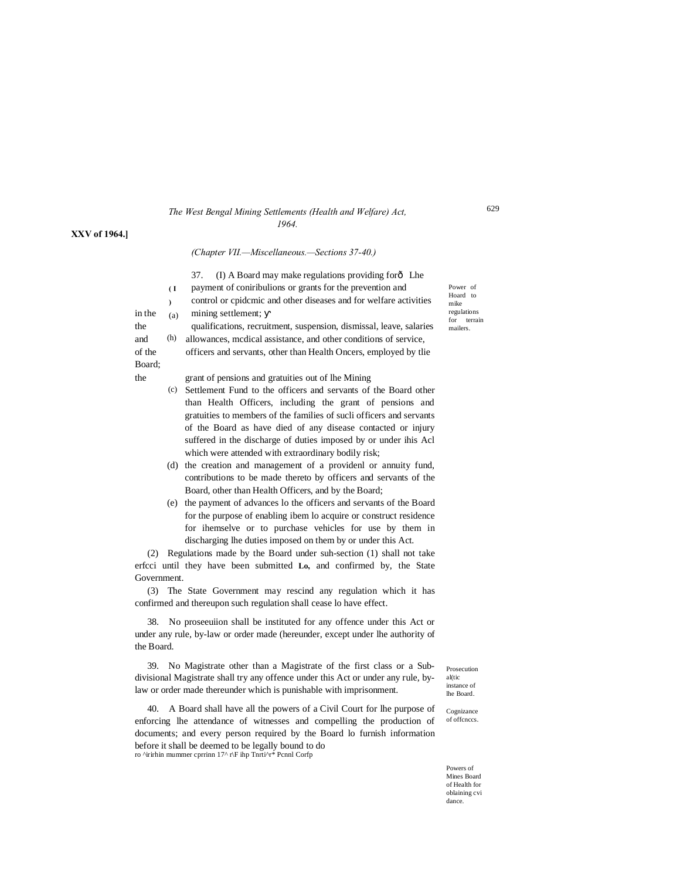#### *The West Bengal Mining Settlements (Health and Welfare) Act, 1964.*

#### **XXV of 1964.]**

#### *(Chapter VII.—Miscellaneous.—Sections 37-40.)*

37. (I) A Board may make regulations providing for  $\delta$  Lhe

payment of coniribulions or grants for the prevention and control or cpidcmic and other diseases and for welfare activities

in the  $(a)$  mining settlement;

(h) the qualifications, recruitment, suspension, dismissal, leave, salaries and (h) allowances, medical assistance, and other conditions of service,

of the officers and servants, other than Health Oncers, employed by tlie

the grant of pensions and gratuities out of lhe Mining

- (c) Settlement Fund to the officers and servants of the Board other than Health Officers, including the grant of pensions and gratuities to members of the families of sucli officers and servants of the Board as have died of any disease contacted or injury suffered in the discharge of duties imposed by or under ihis Acl which were attended with extraordinary bodily risk;
- (d) the creation and management of a providenl or annuity fund, contributions to be made thereto by officers and servants of the Board, other than Health Officers, and by the Board;
- (e) the payment of advances lo the officers and servants of the Board for the purpose of enabling ibem lo acquire or construct residence for ihemselve or to purchase vehicles for use by them in discharging lhe duties imposed on them by or under this Act.

(2) Regulations made by the Board under suh-section (1) shall not take erfcci until they have been submitted **Lo,** and confirmed by, the State Government.

(3) The State Government may rescind any regulation which it has confirmed and thereupon such regulation shall cease lo have effect.

38. No proseeuiion shall be instituted for any offence under this Act or under any rule, by-law or order made (hereunder, except under lhe authority of the Board.

39. No Magistrate other than a Magistrate of the first class or a Subdivisional Magistrate shall try any offence under this Act or under any rule, bylaw or order made thereunder which is punishable with imprisonment.

40. A Board shall have all the powers of a Civil Court for lhe purpose of enforcing lhe attendance of witnesses and compelling the production of documents; and every person required by the Board lo furnish information before it shall be deemed to be legally bound to do ro ^irirhin mummer cprrinn 17^ r\F ihp Tnrti^r\* Pcnnl Corfp

Prosecution al(tic instance of lhe Board.

Cognizance of offcnccs.

Powers of Mines Board of Health for oblaining cvi dance.

Power of Hoard to mike regulations for terrain mailers.

**( I )**  (a)

Board;

629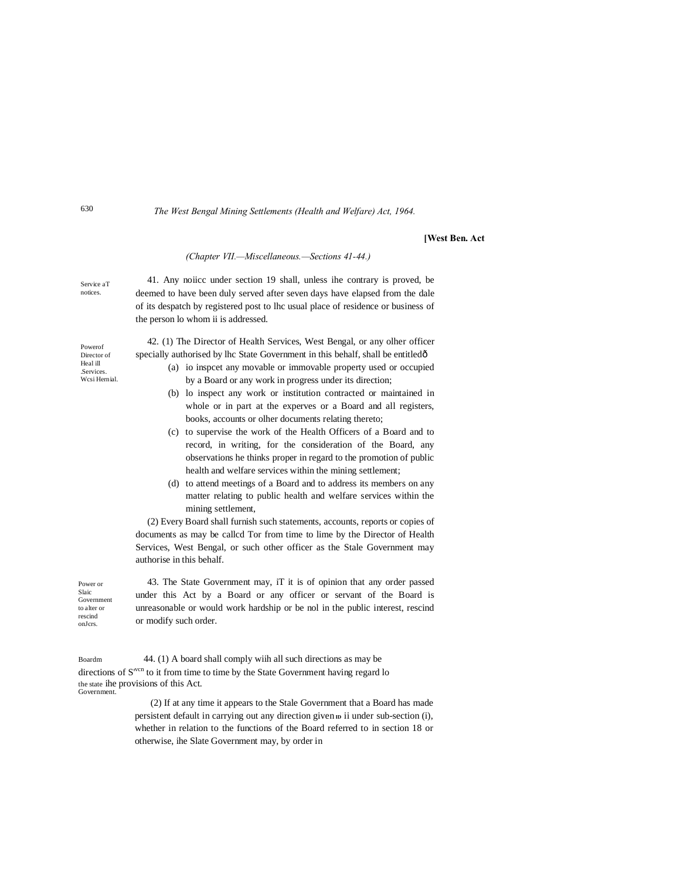*The West Bengal Mining Settlements (Health and Welfare) Act, 1964.*

**[West Ben. Act**

Service aT *(Chapter VII.—Miscellaneous.—Sections 41-44.)* 41. Any noiicc under section 19 shall, unless ihe contrary is proved, be deemed to have been duly served after seven days have elapsed from the dale of its despatch by registered post to lhc usual place of residence or business of the person lo whom ii is addressed. 42. (1) The Director of Health Services, West Bengal, or any olher officer specially authorised by lhc State Government in this behalf, shall be entitledô (a) io inspcet any movable or immovable property used or occupied by a Board or any work in progress under its direction; (b) lo inspect any work or institution contracted or maintained in whole or in part at the experves or a Board and all registers, books, accounts or olher documents relating thereto; (c) to supervise the work of the Health Officers of a Board and to record, in writing, for the consideration of the Board, any observations he thinks proper in regard to the promotion of public health and welfare services within the mining settlement; (d) to attend meetings of a Board and to address its members on any matter relating to public health and welfare services within the mining settlement, (2) Every Board shall furnish such statements, accounts, reports or copies of

documents as may be callcd Tor from time to lime by the Director of Health Services, West Bengal, or such other officer as the Stale Government may authorise in this behalf.

Government 43. The State Government may, iT it is of opinion that any order passed under this Act by a Board or any officer or servant of the Board is unreasonable or would work hardship or be nol in the public interest, rescind or modify such order.

(2) If at any time it appears to the Stale Government that a Board has made persistent default in carrying out any direction given  $\mathbf{D}$  ii under sub-section (i), whether in relation to the functions of the Board referred to in section 18 or otherwise, ihe Slate Government may, by order in

notices.

Powerof Director of Heal ill .Services. Wcsi Hernial.

Power or Slaic

to alter or rescind onJcrs.

Boardm 44. (1) A board shall comply wiih all such directions as may be directions of S<sup>vcn</sup> to it from time to time by the State Government having regard lo the state ihe provisions of this Act. **Government**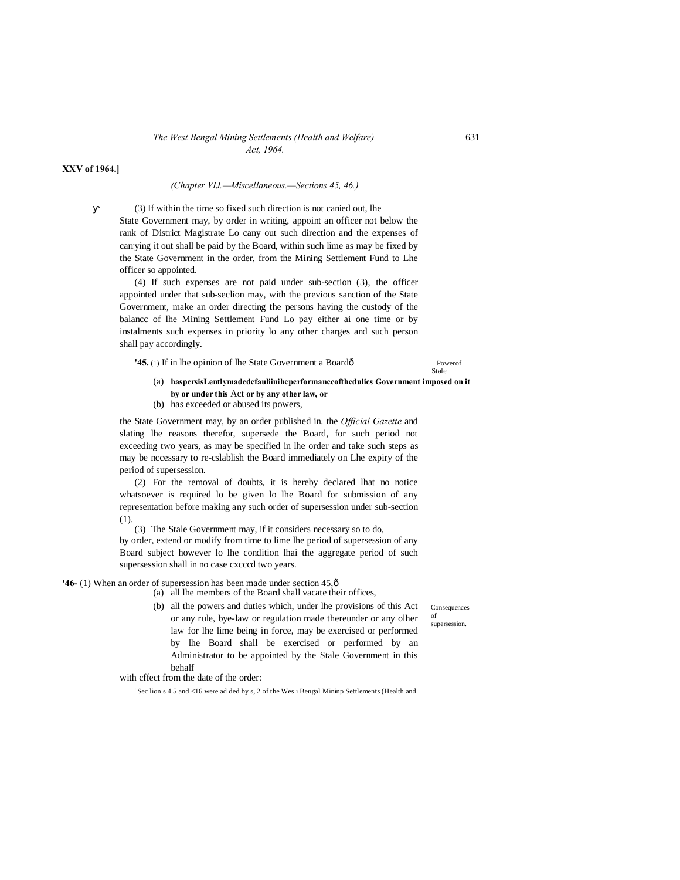## *The West Bengal Mining Settlements (Health and Welfare)* 631 *Act, 1964.*

**XXV of 1964.]**

#### *(Chapter VIJ.—Miscellaneous.—Sections 45, 46.)*

(3) If within the time so fixed such direction is not canied out, lhe State Government may, by order in writing, appoint an officer not below the rank of District Magistrate Lo cany out such direction and the expenses of carrying it out shall be paid by the Board, within such lime as may be fixed by the State Government in the order, from the Mining Settlement Fund to Lhe officer so appointed.

(4) If such expenses are not paid under sub-section (3), the officer appointed under that sub-seclion may, with the previous sanction of the State Government, make an order directing the persons having the custody of the balancc of lhe Mining Settlement Fund Lo pay either ai one time or by instalments such expenses in priority lo any other charges and such person shall pay accordingly.

**'45.** (1) If in lhe opinion of lhe State Government a Boardô Powerof

## Stale

(a) **haspcrsisLentlymadcdcfauliinihcpcrformanccofthcdulics Government imposed on it by or under this** Act **or by any other law, or**

(b) has exceeded or abused its powers,

the State Government may, by an order published in. the *Official Gazette* and slating lhe reasons therefor, supersede the Board, for such period not exceeding two years, as may be specified in lhe order and take such steps as may be nccessary to re-cslablish the Board immediately on Lhe expiry of the period of supersession.

(2) For the removal of doubts, it is hereby declared lhat no notice whatsoever is required lo be given lo lhe Board for submission of any representation before making any such order of supersession under sub-section (1).

(3) The Stale Government may, if it considers necessary so to do,

by order, extend or modify from time to lime lhe period of supersession of any Board subject however lo lhe condition lhai the aggregate period of such supersession shall in no case cxcccd two years.

#### **'46-** (1) When an order of supersession has been made under section 45, $\hat{o}$

(a) all lhe members of the Board shall vacate their offices,

(b) all the powers and duties which, under lhe provisions of this Act or any rule, bye-law or regulation made thereunder or any olher law for lhe lime being in force, may be exercised or performed by lhe Board shall be exercised or performed by an Administrator to be appointed by the Stale Government in this behalf

Consequences of

supersession.

with cffect from the date of the order:

' Sec lion s 4 5 and <16 were ad ded by s, 2 of the Wes i Bengal Mininp Settlements (Health and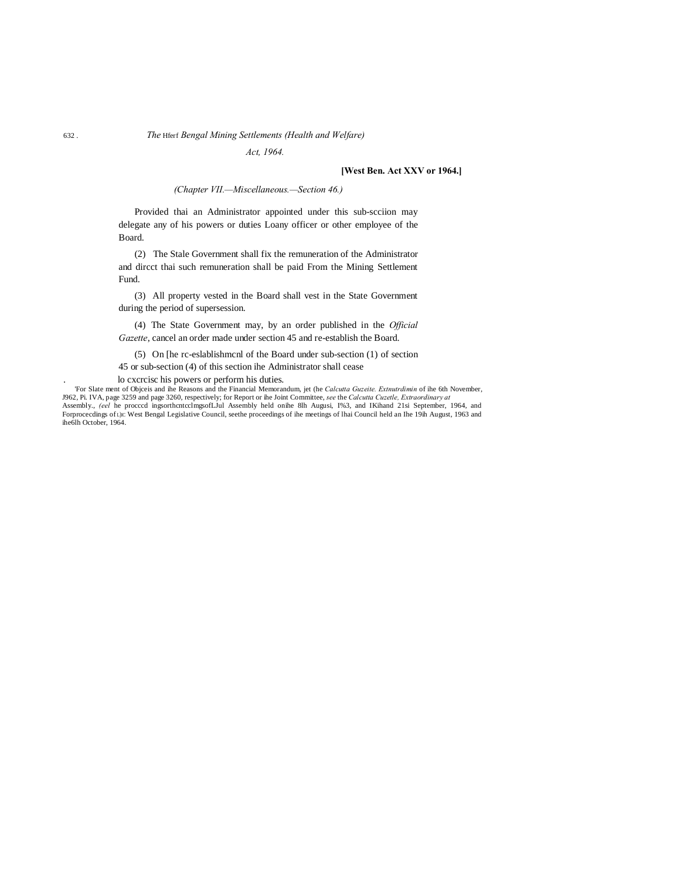## 632 . *The* Hferf *Bengal Mining Settlements (Health and Welfare)*

*Act, 1964.*

## **[West Ben. Act XXV or 1964.]**

*(Chapter VII.—Miscellaneous.—Section 46.)*

Provided thai an Administrator appointed under this sub-scciion may delegate any of his powers or duties Loany officer or other employee of the Board.

(2) The Stale Government shall fix the remuneration of the Administrator and dircct thai such remuneration shall be paid From the Mining Settlement Fund.

(3) All property vested in the Board shall vest in the State Government during the period of supersession.

(4) The State Government may, by an order published in the *Official Gazette*, cancel an order made under section 45 and re-establish the Board.

(5) On [he rc-eslablishmcnl of the Board under sub-section (1) of section

45 or sub-section (4) of this section ihe Administrator shall cease

. lo cxcrcisc his powers or perform his duties.

'For Slate ment of Objceis and ihe Reasons and the Financial Memorandum, jet (he *Calcutta Guzeite. Extnutrdimin* of ihe 6th November, J962, Pi. IVA, page 3259 and page 3260, respectively; for Report or ihe Joint Committee, *see* the *Calcutta Cuzetle, Extraordinary at*<br>Assembly., *(eel* he procccd ingsorthentcelmgsofLJul Assembly held onihe 8lh Augusi, 1 ihe6lh October, 1964.